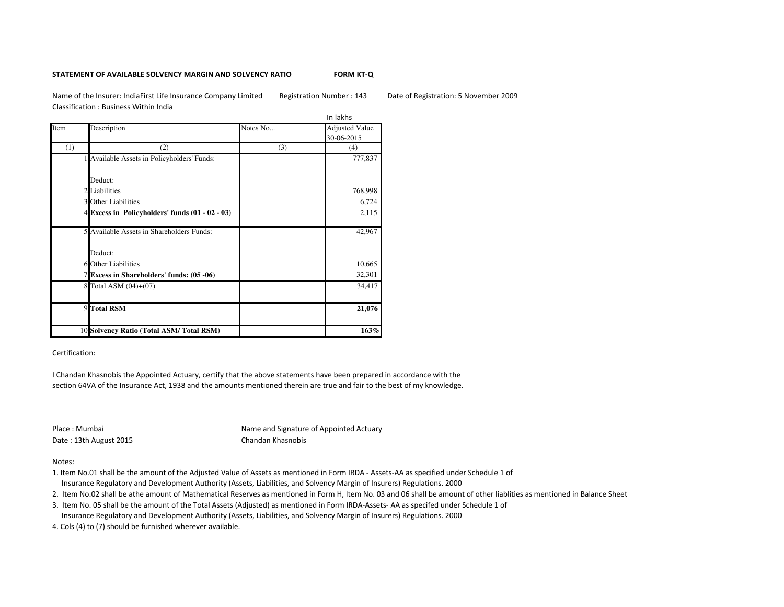## **STATEMENT OF AVAILABLE SOLVENCY MARGIN AND SOLVENCY RATIO**

**FORM KT-Q**

Name of the Insurer: IndiaFirst Life Insurance Company Limited Registration Number : 143 Date of Registration: 5 November 2009Classification : Business Within India

|      |                                                     |          | In lakhs                            |
|------|-----------------------------------------------------|----------|-------------------------------------|
| Item | Description                                         | Notes No | <b>Adjusted Value</b><br>30-06-2015 |
| (1)  | (2)                                                 | (3)      | (4)                                 |
|      | 1 Available Assets in Policyholders' Funds:         |          | 777,837                             |
|      | Deduct:                                             |          |                                     |
|      | 2 Liabilities                                       |          | 768,998                             |
|      | <b>3</b> Other Liabilities                          |          | 6,724                               |
|      | $4$ Excess in Policyholders' funds $(01 - 02 - 03)$ |          | 2,115                               |
|      | 5 Available Assets in Shareholders Funds:           |          | 42,967                              |
|      | Deduct:                                             |          |                                     |
|      | 6 Other Liabilities                                 |          | 10,665                              |
|      | 7 Excess in Shareholders' funds: (05 -06)           |          | 32,301                              |
|      | 8 Total ASM (04)+(07)                               |          | 34,417                              |
|      | 9 Total RSM                                         |          | 21,076                              |
|      | 10 Solvency Ratio (Total ASM/Total RSM)             |          | 163%                                |

Certification:

I Chandan Khasnobis the Appointed Actuary, certify that the above statements have been prepared in accordance with the section 64VA of the Insurance Act, 1938 and the amounts mentioned therein are true and fair to the best of my knowledge.

Place : Mumbai

 Name and Signature of Appointed Actuary $\mathsf V$ Date : 13th August 2015 Chandan Khasnobis Dr. P.Nandagopal

Notes:

1. Item No.01 shall be the amount of the Adjusted Value of Assets as mentioned in Form IRDA - Assets-AA as specified under Schedule 1 of

Insurance Regulatory and Development Authority (Assets, Liabilities, and Solvency Margin of Insurers) Regulations. 2000

2. Item No.02 shall be athe amount of Mathematical Reserves as mentioned in Form H, Item No. 03 and 06 shall be amount of other liablities as mentioned in Balance Sheet

3. Item No. 05 shall be the amount of the Total Assets (Adjusted) as mentioned in Form IRDA-Assets- AA as specifed under Schedule 1 of

Insurance Regulatory and Development Authority (Assets, Liabilities, and Solvency Margin of Insurers) Regulations. 2000

4. Cols (4) to (7) should be furnished wherever available.